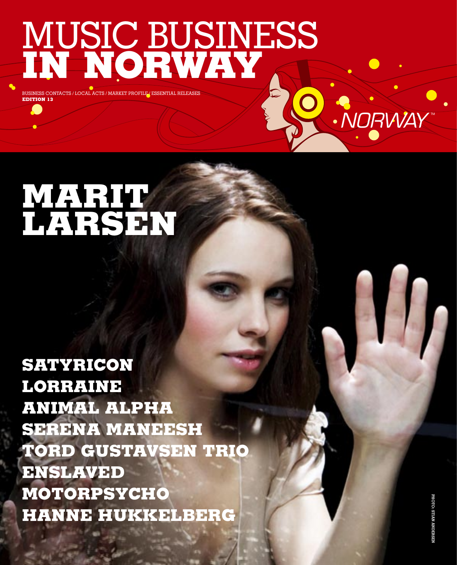# MUSIC BUSINESS **IN NORWAY**

BUSINESS CONTACTS / LOCAL ACTS / MARKET PROFI **EDITION 13**

# **MARIT LARSEN**

**SATYRICON LORRAINE ANIMAL ALPHA SERENA MANEESH TORD GUSTAVSEN TRIO ENSLAVED MOTORPSYCHO HANNE HUKKELBERG**

NORWAY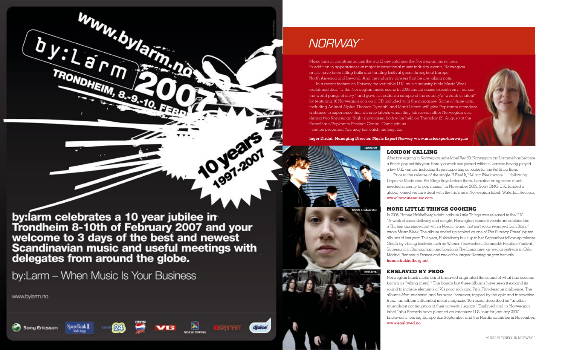

## NORWAY<sup>\*</sup>

Music fans in countries across the world are catching the Norwegian music bug.

In addition to appearances at major international music industry events, Norwegian artists have been filling halls and thrilling festival goers throughout Europe, North America and beyond. And the industry powers that be are taking note. In a recent feature on Norway the veritable U.K. music industry bible Music Week exclaimed that, "…the Norwegian music scene in 2006 should cause executives … across the world pangs of envy," and gave its readers a sample of the country's "wealth of talent" by featuring 16 Norwegian acts on a CD included with the magazine. Some of those acts, including Animal Alpha, Thomas Dybdahl and Marit Larsen will give Popkomm attendees a chance to experience their diverse talents when they join seven other Norwegian acts during two Norwegian Night showcases, both to be held on Thursday (21 August) at the Kesselhaus/Popkomm Festival Centre. Come join us – but be prepared: You may just catch the bug, too!

> After first signing to Norwegian indie label Rec 90, Norwegian trio Lorraine has become a British pop act this year. Hardly a week has passed without Lorraine having played a few U.K. venues, including three supporting act dates for the Pet Shop Boys. Prior to the release of the single "I Feel It," *Music Week* wrote "… following Depeche Mode and Pet Shop Boys before them, Lorraine bring some much needed sincerity to pop music." In November 2005, Sony BMG U.K. landed a global joined venture deal with the trio's new Norwegian label, Waterfall Records. www.lorrainemusic.com

**Inger Dirdal, Managing Director, Music Export Norway www.musicexportnorway.no**

**HANNE HUKKELBERG**

#### **LORRAINE LONDON CALLING**

#### **MORE LITTLE THINGS COOKING**

In 2005, Hanne Hukkelberg's debut album *Little Things* was released in the U.K. "A work of sheer delicacy and delight, Norwegian Hanne's vocals are sublime like  $\alpha$  Thirties jazz singer, but with  $\alpha$  Nordic twang that isn't so far removed from Björk," wrote *Music Week*. The album ended up ranked as one of *The Sunday Times*' top ten albums of last year. This year, Hukkelberg built up to her September follow-up release *Obelix* by visiting festivals such as Wiener Festwochen, Denmark's Roskilde Festival, Supersonic in Birmingham and London's The Luminaire, as well as festivals in Oslo, Madrid, Rennes in France and two of the largest Norwegian jazz festivals. hanne.hukkelberg.net

#### **ENSLAVED BY PROG**

Norwegian black metal band Enslaved originated the sound of what has become known as "viking metal." The band's last three albums have seen it expand its sound to include elements of 70s prog rock and Pink Floyd-esque ambience. The albums *Monumension* and *Isa* were, however, topped by the epic and innovative *Ruun*, an album influential metal magazine *Terrorizer* described as "another triumphant continuation of their powerful legacy." Enslaved and its Norwegian label Tabu Records have planned an extensive U.S. tour for January 2007. Enslaved is touring Europe this September and the Nordic countries in November. www.enslaved.no

by: arm celebrates a 10 year jubilee in<br>Trondheim 8-10th of February 2007 and your<br>welcome to 3 days of the best and newest<br>Scandinavian music and useful meetings with delegates from around the globe.

by:Larm - When Music Is Your Business

SpareBank 1

www.bylarm.no





**ENSLAVED**

djuice<sup>\*</sup>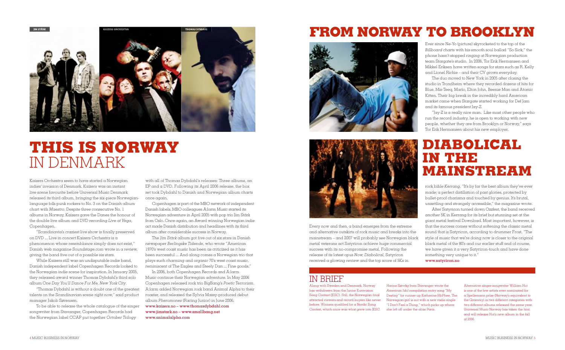## **THIS IS NORWAY**  IN DENMARK



Kaizers Orchestra seem to have started a Norwegian indies' invasion of Denmark. Kaizers was an instant live scene favourite before Universal Music Denmark released its third album, bringing the six-piece Norwegianlanguage folk-punk rockers to No. 3 on the Danish album chart with *Maestro*. Despite three consecutive No. 1 albums in Norway, Kaizers gave the Danes the honour of the double live album and DVD recording *Live at Vega*, Copenhagen.

"Scandinavia's craziest live show is finally preserved on DVD ... Live in concert Kaizers Orchestra is a phenomenon whose resemblance simply does not exist," Danish web magazine *Soundstage.com* wrote in a review, giving the band five out of a possible six stars.

While Kaizers still was an undisputable indie band, Danish independent label Copenhagen Records looked to the Norwegian indie scene for inspiration. In January 2005, they released award winner Thomas Dybdahl's third solo album *One Day You'll Dance For Me, New York City*.

The *Jim Stärk* album got five out of six stars in Danish newspaper *Berlingske Tidende*, who wrote "American 1970's west coast music has been as criticized as it has been successful ... And along comes a Norwegian trio that plays such charming and organic 70's west coast music, reminiscent of The Eagles and Steely Dan ... Fine goods."

"Thomas Dybdahl is without a doubt one of the greatest talents on the Scandinavian scene right now," said product manager Jakob Sørensen.

To be able to release the whole catalogue of the singer songwriter from Stavanger, Copenhagen Records had the Norwegian label CCAP put together *October Trilogy*

with all of Thomas Dybdahl's releases: Three albums, an EP and  $\alpha$  DVD. Following its April 2006 release, the box set took Dybdahl to Danish and Norwegian album charts once again.

Copenhagen is part of the MBO network of independent Danish labels. MBO colleagues A:larm Music started its Norwegian adventure in April 2005 with pop trio Jim Stärk from Oslo. Once again, an Award winning Norwegian indie act made Danish distribution and headlines with its third album after considerable success in Norway.

"Jay-Z is a really nice man. Like most other people who run the record industry, he is open to working with new people, whether they are from Brooklyn or Norway," says Tor Erik Hermansen about his new employer.

Every now and then,  $\alpha$  band emerges from the extreme and alternative outskirts of rock music and breaks into the mainstream – and 2007 will probably see Norwegian black metal veterans act Satyricon achieve huge commercial success with its no-compromise metal. Following the release of its latest opus *Now, Diabolical*, Satyricon received a glowing review and the top score of 5Ks in

In 2006, both Copenhagen Records and A:larm Music continue their Norwegian adventure. In May 2006 Copenhagen released rock trio BigBang's *Poetic Terrorism*. A:larm added Norwegian rock band Animal Alpha to their roaster, and released the Sylvia Massy-produced debut album *Pheromones* (Racing Junior) in June 2006. www.kaizers.no – www.thomasdybdahl.com www.jimstark.no – www.smallbang.net www.animalalpha.com

Alternative singer-songwriter William Hut is one of the few artists ever nominated for a Spellemann prize (Norway's equivalent to the Grammy) in two different categories with two different albums released the same year. Universal Music Norway has taken the hint, and will release Hut's new album in the fall  $of 2006$ 

Ever since Ne-Yo (picture) skyrocketed to the top of the *Billboard* charts with his smooth soul ballad "So Sick," the phone hasn't stopped ringing at Norwegian production team Stargate's studio. In 2006, Tor Erik Hermansen and Mikkel Eriksen have written songs for stars such as R. Kelly and Lionel Richie – and their CV grows everyday.

The duo moved to New York in 2005 after closing the studio in Trondheim where they recorded dozens of hits for Blue, Mis-Teeq, Mario, Elton John, Beenie Man and Atomic Kitten. Their big break in the incredibly hard American market came when Stargate started working for Def Jam and its famous president Jay-Z.

## **FROM NORWAY TO BROOKLYN**





rock bible *Kerrang*. "It's by far the best album they've ever made; a perfect distillation of past glories, protected by bullet-proof charisma and touched by genius. It's brutal, unsettling and strangely accessible," the magazine wrote.

After Satyricon turned down Ozzfest, the band received another 5K in Kerrang for its brief but stunning set at the giant metal festival Download. Most important, however, is that the success comes without softening the classic metal sound that is Satyricon, according to drummer Frost. "The style of music that we're doing now is closer to the original black metal of the 80's and our earlier stuff and of course, we have given it a very Satyricon-touch and have done something very unique to it."

www.satyricon.no

## **DIABOLICAL IN THE MAINSTREAM**

#### IN BRIEF

Along with Sweden and Denmark, Norway has withdrawn from the Junior Eurovision Song Contest (JESC). Still, the Norwegian final attracted viewers and record buyers like never before. Winners qualified for a Nordic Song Contest, which once was what grew into JESC.

Hanne Sørvåg from Stavanger wrote the *American Idol* compilation entry song "My Destiny" for runner-up Katherine McPhee. The Norwegian girl is out with a new radio single "I Don't Feel a Thing," which picks up where she left off under the alias Paris.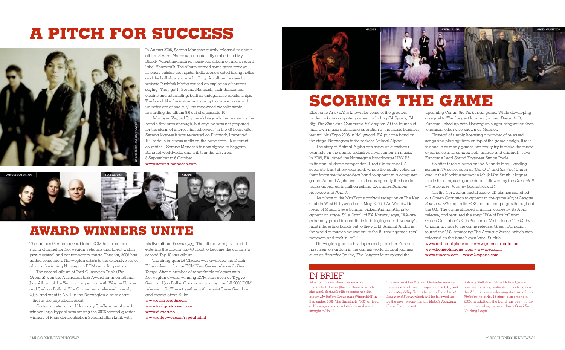The famous German record label ECM has become a strong channel for Norwegian veterans and talent within jazz, classical and contemporary music. Thus far, 2006 has added some more Norwegian artists to the extensive roster of award-winning Norwegian ECM recording artists.

The second album of Tord Gustavsen Trio's (*The Ground*) won the Australian Jazz Award for International Jazz Album of the Year in competition with Wayne Shorter and Stefaon Bollani. *The Ground* was released in early 2005, and went to No. 1 in the Norwegian album chart – that is, the pop album chart.

Guitarist veteran and Honorary Spellemann Award winner Terje Rypdal was among the 2006 second quarter winners of Preis der Deutschen Schallplatten kritik with

his live album *Vossabrygg*. The album was just short of entering the album Top 40 chart to become the guitarist's second Top 40 jazz album.

The string quartet Cikada was awarded the Dutch Edison Award for the ECM New Series release *In Due Tempi*. After a number of remarkable releases with Norwegian award-winning ECM stars such as Trygve Seim and Jon Balke, Cikada is awaiting the fall 2006 ECM release of *So There* together with bassist Steve Swallow and pianist Steve Kuhn.

www.ecmrecords.com www.tordgustavsen.com www.cikada.no www.jeffgower.com/rypdal.html

## **AWARD WINNERS UNITE**

In August 2005, Serena Maneesh quietly released its debut album *Serena Maneesh*, a beautifully crafted and My Bloody Valentine-inspired noise-pop album on micro record label Honeymilk. The album earned some great reviews, listeners outside the hipster indie scene started taking notice, and the ball slowly started rolling. An album review by website Pitchfork Media caused an explosion of interest, saying "They get it, Serena Maneesh, their demeanour electric and alternating, built off antagonistic relationships. The band, like the instrument, are apt to prove noise and un-noise are of one cut," the renowned website wrote, rewarding the album 8.6 out of a possible 10.

 Manager Vegard Strømsodd regards the review as the band's first breakthrough, but says he was not prepared for the storm of interest that followed. "In the 48 hours after Serena Maneesh was reviewed on Pitchfork, I received 100 serious business mails on the band from 15 different countries!" Serena Maneesh is now signed to Beggars Banquet worldwide, and will tour the U.S. from 8 September to 6 October.

www.serena-maneesh.com

## **A PITCH FOR SUCCESS**

After four consecutive Spellemannnominated albums (the first three of which she won), Bertine Zetlitz releases her fifth album *My Italian Greyhound* (Virgin/EMI) in September 2006. The first single "500" arrived at Norwegian radio in late June and went straight to No. 13.

Electronic Arts (EA) is known for some of the greatest trademarks in computer games, including *EA Sports*, *EA Big*, *The Sims* and *Command & Conquer*. At the launch of their own music publishing operation at the music business festival MusExpo 2006 in Hollywood, EA put one band on the stage: Norwegian indie rockers Animal Alpha.

The story of Animal Alpha can serve as a textbook example on the games industry's involvement in music. In 2005, EA joined the Norwegian broadcaster NRK P3 in its annual demo competition, Urørt (Untouched). A separate Urørt show was held, where the public voted for their favourite independent band to appear in a computer game. Animal Alpha won, and subsequently the band's tracks appeared in million selling EA games *Burnout Revenge* and *NHL 06*.

As a host of the MusExpo's cocktail reception at The Key Club in West Hollywood on 1 May, 2006, EA's Worldwide Head of Music, Steve Schnur, picked Animal Alpha to appear on stage. Silje Grønli of EA Norway says, "We are extremely proud to contribute in bringing one of Norway's most interesting bands out to the world. Animal Alpha is the world of music's equivalent to the *Burnout* games; total mayhem and rock 'n' roll."

Norwegian games developer and publisher Funcom has risen to stardom in the games world through games such as *Anarchy Online*, *The Longest Journey* and the

upcoming *Conan the Barbarian* game. While developing a sequel to *The Longest Journey* (named *Dreamfall*), Funcom linked up with Norwegian singer-songwriter Even Johansen, otherwise known as Magnet.

"Instead of simply licensing a number of released songs and placing them on top of the game design, like it is done in so many games, we really try to make the music experience in *Dreamfall* both unique and original," says Funcom's Lead Sound Engineer Simon Poole.

So after three albums on the Atlantic label, landing songs in TV series such as *The O.C.* and *Six Feet Under* and in the blockbuster movie *Mr. & Mrs. Smith*, Magnet made his computer game debut followed by the *Dreamfall – The Longest Journey* Soundtrack EP.

On the Norwegian metal scene, 2K Games searched out Green Carnation to appear in the game *Major League Baseball 2K6* and in its POS and ad campaigns throughout the U.S. The game shipped a million copies by its April release, and featured the song "Pile of Doubt" from Green Carnation's 2005 Season of Mist release *The Quiet Offspring*. Prior to the game release, Green Carnation toured the U.S. promoting *The Acoustic Verses*, which was released on the band's own label Sublife.

www.animalalpha.com – www.greencarnation.no www.homeofmagnet.com – www.ea.com www.funcom.com – www.2ksports.com

## **SCORING THE GAME**

## IN BRIEF

Susanna and the Magical Orchestra received rave reviews all over Europe and the U.S., and made *Mojo*'s Top Ten with debut album *List of Lights and Buoys*, which will be followed up by the new release this fall, *Melody Mountain* (Rune Grammofon).

Solveig Slettahjell Slow Motion Quintet has been visiting festivals on both sides of the Atlantic since releasing its third album *Pixiedust* to a No. 15 chart placement in 2005. In addition, the band has been in the studio recording its new album *Good Rain* (Curling Legs).





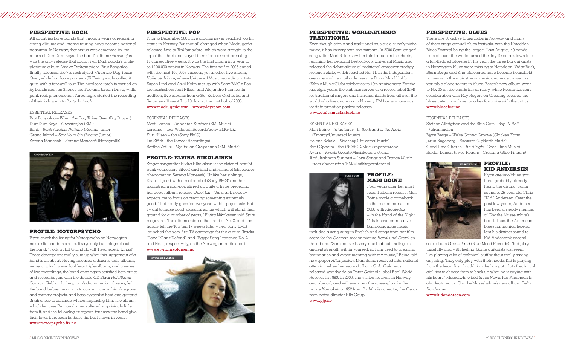#### 

#### **PERSPECTIVE: ROCK**

All countries have bands that through years of releasing strong albums and intense touring have become national treasures. In Norway, that status was cemented by the return of DumDum Boys. The band's album *Gravitasjon* was the only release that could rival Madrugada's tripleplatinum album *Live at Tralfamadore*. Brut Boogaloo fi nally released the 70s rock styled *When the Dog Takes Over*, while hardcore pioneers JR Ewing sadly called it quits with a farewell tour. The hardcore torch is carried on by bands such as Silence the Foe and Jeroan Drive, while punk rock phenomenon Turbonegro started the recording of their follow-up to *Party Animals*.

If you check the listing for Motorpsycho on Norwegian music site bandeindex.no, it says only two things about the band: "Rock & Roll Grand Royal! Psychedelic Kings!" Those descriptions really sum up what this juggernaut of a band is all about. Having released a dozen studio albums, many of which were double or triple albums, and a series of live recordings, the band once again satisfied both critics and record buyers with the double CD *Black Hole/Blank Canvas*. Gebhardt, the group's drummer for 15 years, left the band before the album to concentrate on his bluegrass and country projects, and bassist/vocalist Bent and guitarist Snah chose to continue without replacing him. The album, which features Bent on drums, suffered surprisingly little from it, and the following European tour saw the band give their loyal European fanbase the best shows in years. www.motorpsycho.fix.no

#### ESSENTIAL RELEASES:

Brut Boogaloo – *When the Dog Takes Over* (Big Dipper) DumDum Boys – *Gravitasjon* (EMI) Bonk – *Bonk Against Nothing* (Racing Junior) Grand Island – *Say No to Sin* (Racing Junior) Serena Maneesh – *Serena Maneesh* (Honeymilk)

#### **PROFILE: MOTORPSYCHO**

#### **PERSPECTIVE: POP**

Prior to December 2005, live albums never reached top hit status in Norway. But that all changed when Madrugada released *Live at Tralfamadore*, which went straight to the top of the chart and stayed there for a record-breaking  $11$  consecutive weeks. It was the first album in a year to sell 100,000 copies in Norway. The first half of 2006 ended with the next 100,000+ success, yet another live album, *Hallelujah Live*, where Universal Music recording artists Espen Lind and Askil Holm met up with Sony BMG's Pop Idol bestsellers Kurt Nilsen and Alejandro Fuentes. In addition, live albums from Gåte, Kaizers Orchestra and Seigmen all went Top 10 during the first half of 2006. www.madrugada.com – www.playroom.com

#### ESSENTIAL RELEASES:

Marit Larsen – *Under the Surface* (EMI Music) Lorraine – tba (Waterfall Records/Sony BMG UK) Kurt Nilsen – tba (Sony BMG) Jim Stärk – tba (Sweet Recordings) Bertine Zetlitz – *My Italian Greyhound* (EMI Music)

> included  $\alpha$  song sung in English and songs from her film score for the German motion picture *Hänsl und Gretel* on the album. "Sami music is very much about finding an ancient strength within yourself, so I am used to breaking boundaries and experimenting with my music," Boine told newspaper *Aftenposten*. Mari Boine received international attention when her second album *Gula Gula* was released worldwide on Peter Gabriel's label Real World Records in 1990. In 2006, she visited festivals in Norway and abroad, and will even pen the screenplay for the movie *Kautokeino 1852* from *Pathfinder* director, the Oscar nominated director Nils Gaup.

#### **PROFILE: ELVIRA NIKOLAISEN**

Singer-songwriter Elvira Nikolaisen is the sister of Ivar (of punk youngsters Silver) and Emil and Hilma of (shoegazer phenomenon Serena Maneesh). Unlike her siblings, Elvira signed with a major label (Sony BMG) and her mainstream soul-pop stirred up quite a hype preceding her debut album release *Quiet Exit*. "As a girl, nobody expects me to focus on creating something extremely good. That really goes for everyone within pop music. But I want to make good, classical songs which will stand their ground for a number of years," Elvira Nikolaisen told *Spirit* magazine. The album entered the chart at No. 2, and has hardly left the Top Ten 17 weeks later when Sony BMG launched the very first TV campaign for the album. Tracks "Love I Can't Defend" and "Egypt Song" reached No. 2 and No. 1, respectively, on the Norwegian radio chart. www.elviranikolaisen.no

#### **EXID ANDERSEN PROFILE: KID ANDERSEN**

#### **PERSPECTIVE: WORLD/ETHNIC/ TRADITIONAL**

Even though ethnic and traditional music is distinctly niche music, it has its very own mainstream. In 2006 Sami singer/ songwriter Mari Boine saw her third album in the charts, reaching her personal best of No. 5. Universal Music also released the debut album of traditional crossover prodigy Helene Bøksle, which reached No. 11. In the independent arena, erstwhile mail order service Etnisk Musikklubb (Ethnic Music Club) celebrates its 10th anniversary. For the last eight years, the club has served as a record label (EM) for traditional singers and instrumentalists from all over the world who live and work in Norway. EM has won awards for its information packed releases.

#### www.etniskmusikklubb.no

#### ESSENTIAL RELEASES:

Mari Boine – *Idjagiedas - In the Hand of the Night* (Emarcy/Universal Music) Helene Bøksle – *Elverhøy* (Universal Music) Berit Opheim – tba (NORCD/Musikkoperatørene) Kvarts – *Kvarts* (Kvarts/Musikkoperatørene) Abdulrahman Surihezi – *Love Songs and Trance Music from Balochistan* (EM/Musikkoperatørene)

#### **PROFILE: MARI BOINE**

Four years after her most recent album release, Mari Boine made a comeback in the record market in 2006 with *Idjagiedas – In the Hand of the Night*. This innovator in native Sami-language music

www.pjp.no

#### **PERSPECTIVE: BLUES**

There are 68 active blues clubs in Norway, and many of them stage annual blues festivals, with the Notodden Blues Festival being the largest. Last August, 40 bands from all over the world turned the tiny Telemark town into  $\alpha$  full-fledged bluesfest. This year, the three big guitarists in Norwegian blues were missing at Notodden. Vidar Busk, Bjørn Berge and Knut Reiersrud have become household names with the mainstream music audience as well as veritable globetrotters in blues. Berge's new album went to No. 25 on the charts in February, while Reidar Larsen's collaboration with Roy Rogers on Crossing secured the blues veteran with yet another favourite with the critics. www.bluesfest.no

ESSENTIAL RELEASES:

Steinar Albrigtsen and the Blue Cats – *Bop 'N Roll* (Grammofon)

Bjørn Berge – *We're Gonna Groove* (Chicken Farm) Jørun Bøgeberg – *Basstard* (UpNorth Music) Good Time Charlie – *It's Alright* (Good Time Music)

Reidar Larsen & Roy Rogers – *Crossing* (Blue Fingers)



If you are into blues, you have probably already heard the distinct guitar sound of 26-year-old Chris "Kid" Andersen. Over the past few years, Andersen has been a steady member of Charlie Musselwhite's band. Thus, the American blues harmonica legend lent his distinct sound to Kid Andersen's second

solo album *Greaseland* (Blue Mood Records). "Kid plays tastefully and with feeling. Some guitarists just seem like playing  $\alpha$  lot of technical stuff without really saying anything. They only play with their heads. Kid is playing from the heart first. In addition, he has got a lot of technical abilities to choose from to back up what he is saying with his heart," Musselwhite told *Blues News*. Kid Andersen is also featured on Charlie Musselwhite's new album *Delta Hardware*.

www.kidandersen.com







## 

# **MARI BOINE**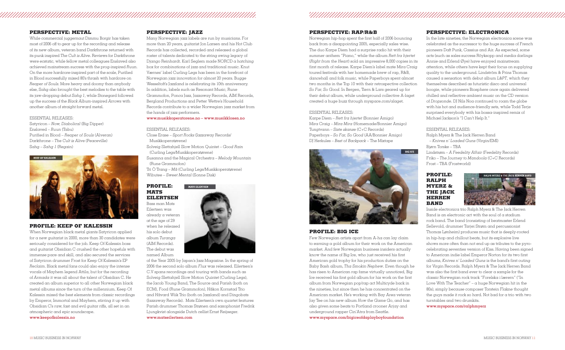#### **PERSPECTIVE: JAZZ**

Many Norwegian jazz labels are run by musicians. For more than 20 years, guitarist Jon Larsen and his Hot Club Records has collected, recorded and released a global roster of talents dedicated to the string swing legacy of Django Reinhardt. Karl Seglem made NORCD a hatching box for combinations of jazz and traditional music. Knut Værnes' label Curling Legs has been in the forefront of Norwegian jazz innovation for almost 20 years. Bugge Wesseltoft's Jazzland is celebrating its 10th anniversary. In addition, labels such as Resonant Music, Rune Grammofon, Ponca Jazz, Jazzaway Records, AIM Records, Bergland Productions and Petter Wettre's Household Records contribute to a wider Norwegian jazz market from the hands of jazz performers.

#### www.musikkoperatorene.no – www.musikklosen.no

#### ESSENTIAL RELEASES:

Close Erase – *Sport Rocks* (Jazzaway Records/ Musikkoperatørene) Solveig Slettahjell Slow Motion Quintet – *Good Rain* (Curling Legs/Musikkoperatørene) Susanna and the Magical Orchestra – *Melody Mountain* (Rune Grammofon) Tri Ò Trang – *Må* (Curling Legs/Musikkoperatørene) Wibutee – *Sweet Mental* (Sonne Disk)

#### **PROFILE: MATS EILERTSEN**

Bass man Mats Eilertsen was already a veteran

at the age of 29 when he released his solo debut album *Turanga* (AIM Records). The debut was named Album

of the Year 2005 by Japan's Jazz Magazine. In the spring of 2006 the second solo album *Flux* was released. Eilertsen's C.V spans recordings and touring with bands such as Solveig Slettahjell Slow Motion Quintet (Curling Legs), the Jacob Young Band, The Source and Parish (both on ECM), Food (Rune Grammofon), Håkon Kornstad Trio and Håvard Wiik Trio (both on Jazzland) and Dingobats (Jazzaway Records). Mats Eilertsen's own quartet features Parish drummer Thomas Strønen and saxophonist Fredrik Ljungkvist alongside Dutch cellist Ernst Reijseger. www.matseilertsen.com

## 

#### **PERSPECTIVE: METAL**

While commercial juggernaut Dimmu Borgir has taken most of 2006 off to gear up for the recording and release of its new album, veteran band Darkthrone returned with its punk inspired *The Cult is Alive*. Reviews for Darkthrone were ecstatic, while fellow metal colleagues Enslaved also achieved mainstream success with the prog-inspired *Ruun*. On the more hardcore-inspired part of the scale, Purified in Blood successfully mixed 80's thrash with hardcore on *Reaper of Souls*. More heavy and doomy than anybody else, Sahg also brought the best melodies to the table with its jaw-dropping debut *Sahg 1*, while Stonegard followed up the success of the *Black Album*-inspired *Arrows* with another album of straight forward metal.

#### ESSENTIAL RELEASES:

Satyricon – *Now, Diabolical* (Big Dipper) Enslaved – *Ruun* (Tabu) Purified in Blood – *Reaper of Souls* (Alveran) Darkthrone – *The Cult is Alive* (Peaceville) Sahg – *Sahg 1* (Regain)

#### **PROFILE: KEEP OF KALESSIN**

Norwegian hip-hop spent the first half of 2006 bouncing back from a disappointing 2005, especially sales wise. The duo Karpe Diem had a surprise radio hit with their summer anthem "Piano," while the album *Rett fra hjertet* (*Right from the Heart*) sold an impressive 8,000 copies in its first month of release. Karpe Diem's label mate Mira Craig toured festivals with her homemade brew of rap, R&B, dancehall and folk music, while Paperboys spent almost two months in the Top 10 with their retrospective collection *So Far, So Good*. In Bergen, Tiern & Lars geared up for their debut album, while underground collective A-laget created a huge buzz through myspace.com/alaget.

When Norwegian black metal giants Satyricon applied for  $\alpha$  new guitarist in 2000, more than 30 candidates were seriously considered for the job. Keep Of Kalessin boss and guitarist Obsidian C crushed the other hopefuls with immense pace and skill, and also secured the services of Satyricon drummer Frost for Keep Of Kalessin's EP *Reclaim*. Black metal fans could also enjoy the intense vocals of Mayhem legend Attila, but for the recording of *Armada* it was all about the talent of Obsidian C. He created an album superior to all other Norwegian black metal albums since the turn of the millennium. Keep Of Kalessin mixed the best elements from classic recordings by Emperor, Immortal and Mayhem, stirring it up with Obsidian C's raw, fast and evil guitar riffs, all set in an atmospheric and epic soundscape.

www.keepofkalessin.no



#### **PERSPECTIVE: ELECTRONICA**

In the late nineties, the Norwegian electronica scene was celebrated as the successor to the huge success of French pioneers Daft Punk, Cassius and Air. As expected, some acts (such as sales success Röyksopp and media darlings Annie and Erlend Øye) have enjoyed mainstream attention, while others have kept their focus on supplying quality to the underground. Lindström & Prins Thomas caused a sensation with debut album *L&PT*, which they themselves described as futuristic disco and universal boogie, while pioneers Biosphere once again delivered chilled and reflective ambient music on the CD version of *Dropsonde*. DJ Nils Noa continued to roam the globe with his hot and audience-friendly sets, while Todd Terje surprised everybody with his bossa-inspired remix of Michael Jackson's "I Can't Help It."

#### ESSENTIAL RELEASES:

Ralph Myerz & The Jack Herren Band – *Knives n' Loaded Guns* (Virgin/EMI) Bjørn Torske – TBA Lindstrøm – *A Feedelity Affair* (Feedelity Records) Friko – *The Journey to Mandoola* (C+C Records) Frost – TBA (Frostworld)

#### **PROFILE: RALPH MYERZ & THE JACK HERREN BAND**

Inside electronica trio Ralph Myerz & The Jack Herren Band is an electronic act with the soul of a stadium rock band. The band (consisting of beatmaster Erlend Sellevold, drummer Tarjei Strøm and percussionist Thomas Lønheim) produces music that is deeply-rooted in hip-hop and chillout beats, but its explosive live shows more often than not end up as tributes to the pyrocelebrating seventies version of Kiss. Having been signed to American indie label Emperor Norton for its two first albums, *Knives n' Loaded Guns* is the band's first outing for Virgin Records. Ralph Myerz & The Jack Herren Band was also the first band ever to clear a sample for the classic Norwegian rock track "Forelska i lærern" ("In Love With The Teacher" –  $\alpha$  huge Norwegian hit in the 80s), simply because composer Torstein Flakne thought the guys made it rock so hard. Not bad for a trio with two turntables and two drumkits.

www.myspace.com/ralphmyerz

#### **PERSPECTIVE: RAP/R&B**

#### ESSENTIAL RELEASES:

Karpe Diem – *Rett fra hjertet* (Bonnier Amigo) Mira Craig – *Mira Mira* (Homemade/Bonnier Amigo) Tungtvann – *Siste skanse* (C+C Records) Paperboys – *So Far, So Good* (AA/Bonnier Amigo) DJ Herkules – *Best of Backpack* – The Mixtape

#### **PROFILE: BIG ICE**

Few Norwegian artists apart from A-ha can lay claim to earning a gold album for their work on the American market. And few Norwegian business insiders actually know the name of Big Ice, who just received his first American gold trophy for his production duties on the Baby Bash album, *Tha Smokin Nephew*. Even though he has risen to American rap fame virtually unnoticed, Big Ice received his first gold album for his work on the first album from Norwegian pop/rap act Multicyde back in the nineties, but since then he has concentrated on the American market. He's working with Bay Area veteran Jay Tee on his new album *How the Game Go*, and has also given some beats to Portland crooner Arjay and underground rapper Cin'Atra from Seattle.

www.myspace.com/bigiceofdaplayboyfoundation





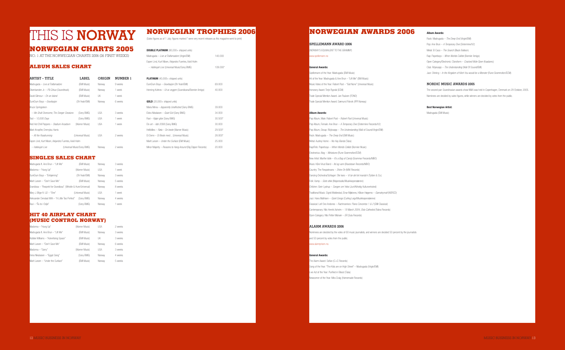## **THIS IS NORWAY NORWEGIAN TROPHIES 2006**

#### **NORWEGIAN CHARTS 2005**

NO. 1 AT THE NORWEGIAN CHARTS 2006 (26 FIRST WEEKS)

#### **ALBUM SALES CHART**

| ARTIST – TITLE                                         |  | <b>LABEL</b>               | <b>ORIGIN</b> | <b>NUMBER 1</b> |  |
|--------------------------------------------------------|--|----------------------------|---------------|-----------------|--|
| Madrugada – Live at Tralfamadore                       |  | (EMI Music)                | Norway        | 9 weeks         |  |
| Olsenbanden Jr. – På Cirkus (Soundtrack)               |  | (EMI Music)                | Norway        | 1 week          |  |
| David Gilmour – <i>On an Island</i>                    |  | (EMI Music)                | UK            | 1 week          |  |
| DumDum Boys - Gravitasjon                              |  | (Oh Yeah/EMI)              | Norway        | 6 weeks         |  |
| Bruce Springsteen                                      |  |                            |               |                 |  |
| - We Shall Overcome, The Seeger Sessions               |  | (Sony BMG)                 | <b>USA</b>    | 3 weeks         |  |
| Tool - 10,000 Days                                     |  | (Sony BMG)                 | <b>USA</b>    | 1 week          |  |
| Red Hot Chili Peppers - Stadium Arcadium               |  | (Warner Music)             | <b>USA</b>    | 1 week          |  |
| Mark Knopfler, Emmylou Harris                          |  |                            |               |                 |  |
| - All the Roadrunning                                  |  | (Universal Music)          | <b>USA</b>    | 2 weeks         |  |
| Espen Lind, Kurt Nilsen, Alejandro Fuentes, Askil Holm |  |                            |               |                 |  |
| - Hallelujah Live                                      |  | (Universal Music/Sony BMG) | Norway        | 2 weeks         |  |
|                                                        |  |                            |               |                 |  |

#### **SINGLES SALES CHART**

| Madrugada ft. Ane Brun – "Lift Me"                            | (EMI Music)       | Norway     | 3 weeks |
|---------------------------------------------------------------|-------------------|------------|---------|
| Madonna – "Hung Up"                                           | (Warner Music)    | <b>USA</b> | 1 week  |
| DumDum Bovs — "Enhiørning"                                    | (Oh Yeah/EMI)     | Norway     | 3 weeks |
| Marit Larsen – "Don't Save Me"                                | (EMI Music)       | Norway     | 5 weeks |
| Grandiosa - "Respekt for Grandiosa" (Whistle & Hum/Universal) |                   | Norway     | 8 weeks |
| Mary J. Blige ft. U2 - "One"                                  | (Universal Music) | <b>USA</b> | 1 week  |
| Aleksander Denstad With – "A Little Too Perfect"              | (Sony BMG)        | Norway     | 4 weeks |
| Ravi – "Ås to i Osilo"                                        | (Sony BMG)        | Norway     | 1 week  |

#### **HIT 40 AIRPLAY CHART (MUSIC CONTROL NORWAY)**

(NORWAY'S EQUIVALENT TO THE GRAMMY) www.spellemann.no

| Madonna – "Hung Up"                   | (Warner Music) | <b>USA</b> | 2 weeks |
|---------------------------------------|----------------|------------|---------|
| Madrugada ft. Ane Brun - "Lift Me"    | (EMI Music)    | Norway     | 3 weeks |
| Robbie Williams - "Advertising Space" | (EMI Music)    | UK         | 3 weeks |
| Marit Larsen – "Don't Save Me"        | (EMI Music)    | Norway     | 6 weeks |
| Madonna – "Sorry"                     | (Warner Music) | <b>USA</b> | 3 weeks |
| Elvira Nikolaisen - "Egypt Song"      | (Sony BMG)     | Norway     | 4 weeks |
| Marit Larsen – "Under the Surface"    | (EMI Music)    | Norway     | 5 weeks |

(Sales figures as of 1 July; figures marked \* were very recent releases as this magazine went to print)

The Alarm Award: Sofian (C+C Records) Song of the Year: "The Kids are on High Street" – Madrugada (Virgin/EMI) Live Act of the Year: Purified in Blood (Tuba) Newcomer of the Year: Mira Craig (Homemade Records)

| <b>DOUBLE PLATINUM</b> (80,000+ shipped units)               |          |
|--------------------------------------------------------------|----------|
| Madrugada - Live at Tralfamadore (Virgin/EMI)                | 140.000  |
| Espen Lind, Kurt Nilsen, Aleiandro Fuentes, Askil Holm       |          |
| - Halleluiah Live (Universal Music/Sony BMG)                 | 109.000* |
|                                                              |          |
| <b>PLATINUM</b> (40,000+ shipped units)                      |          |
| DumDum Boys - Gravitasjon (Oh Yeah/EMI)                      | 69,000   |
| Henning Kvitnes - Ut av veggen (Scandicana/Bonnier Amigo)    | 40.000   |
|                                                              |          |
| $GOLD$ (20,000+ shipped units)                               |          |
| Maria Mena - Apparently Unaffected (Sony BMG)                | 39.000   |
| Elvira Nikolaisen - Quiet Exit (Sony BMG)                    | 34.000   |
| Ravi - Kjøpr gitar (Sony BMG)                                | 30.500*  |
| Div art - Idol 2006 (Sony BMG)                               | 30.000   |
| Hellbillies - Røta - De beste (Warner Music)                 | 29.500*  |
| Di Derre - Di Beste med (Universal Music)                    | 28.000*  |
| Marit Larsen - Under the Surface (EMI Music)                 | 25.000   |
| Minor Majority - Reasons to Hang Around (Big Dipper Records) | 20.000   |
|                                                              |          |

#### **NORWEGIAN AWARDS 2006**

#### **SPELLEMANN AWARD 2006**

#### **General Awards:**

Spellemann of the Year: Madrugada (EMI Music) Hit of the Year: Madrugada & Ane Brun – "Lift Me" (EMI Music) Music Video of the Year: Robert Post – "Got None" (Universal Music) **Honorary Award: Terje Rypdal (ECM)** Trade Special Mention Award: Jan Paulsen (FONO) Trade Special Mention Award: Sæmund Fiskvik (IFPI Norway)

#### **Album Awards:**

Pop Album, Male: Robert Post – Robert Post (Universal Music) Pop Album, Female: Ane Brun – A Temporary Dive (Determine Records/V2) Pop Album, Group: Röyksopp – The Understanding (Wall of Sound/Virgin/EMI) Rock: Madrugada – The Deep End (EMI Music) Metal: Audrey Horne – No Hay Banda (Tuba) Rap/Rnb: Paperboys – When Worlds Collide (Bonnier Music) Electronica: Alog – Miniatures (Rune Grammofon/ECM) New Artist: Marthe Valle - It's a Bag of Candy (Grammar Records/MBO) Blues: Kåre Virud Band – Ild og vann (Bluestown Records/MBO) Country: The Respatexans – Shine On (MW Records) Dancing Orchestra/Schlager: Ole Ivars - Vi tar det tel manda'n (Tylden & Co.) Folk: Vamp – *Siste stikk* (Maiorstudio/Musikkoperatørene) Children: Geirr Lystrup – Sangen om Yebo (Juni/Kirkelig Kulturverksted) Traditional Music: Sigrid Moldestad, Einar Mjølsnes, Håkon Høgemo – Gamalnymalt (NORCD) Jazz: Hans Mathisen – Quiet Songs (Curling Legs/Musikkoperatørene) Classical: Leif Ove Andsnes - Rachmaninov: Piano Concertos 1 & 2 (EMI Classical) Contemporary: Nils Henrik Asheim – 19 March 2004, Oslo Cathedral (Fabra Records) **O**pen Category: Nils Petter Molvær – ER (Sula Records)

#### **ALARM AWARDS 2006**

Nominees are decided by the votes of 60 music journalists, and winners are decided 50 percent by the journalists and 50 percent by votes from the public. www.alamrprisen.no.

#### **General Awards:**

#### **Album Awards:**

- Rock: Madrugada The Deep End (Virgin/EMI)
- Pop: Ane Brun A Temporary Dive (Determine/V2)
- Metal: El Caco The Search (Black Balloon)
- Rap: Paperboys When Worlds Collide (Bonnier Amigo)
- Open Category/Electronic: Cloroform Cracked Wide Open (Kaadarec)
- Club: Röyksopp The Understanding (Wall Of Sound/EMI)
- Jazz: Shining In the Kingdom of Kitch You would be a Monster (Rune Grammofon/ECM)

#### **NORDIC MUSIC AWARDS 2005**

The second pan-Scandinavian awards show NMA was held in Copenhagen, Denmark on 29 October, 2005. Nominees are decided by sales figures, while winners are decided by votes from the public.

#### **Best Norwegian Artist:**

Madrugada (EMI Music)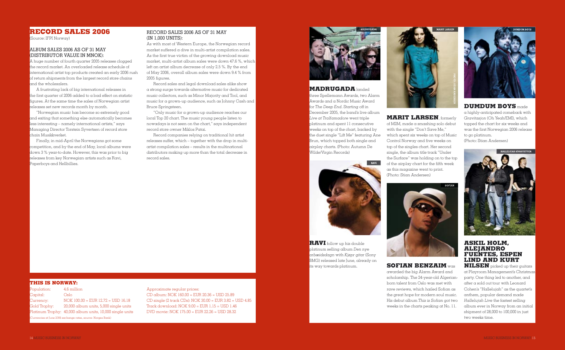#### **RECORD SALES 2006**

(Source: IFPI Norway)

#### ALBUM SALES 2006 AS OF 31 MAY (DISTRIBUTOR VALUE IN MNOK):

A huge number of fourth quarter 2005 releases clogged the record market. An overloaded release schedule of international artist top products created an early 2006 rush of return shipments from the largest record store chains and the wholesalers.

A frustrating lack of big international releases in the first quarter of 2006 added to a bad effect on statistic figures. At the same time the sales of Norwegian artist releases set new records month by month.

"Norwegian music has become so extremely good and exiting that something else automatically becomes less interesting – namely international artists," says Managing Director Torstein Syvertsen of record store chain Musikkverket.

Finally, in mid-April the Norwegians got some competition, and by the end of May, local albums were down 3 % year-to-date. However, this was prior to big releases from key Norwegian artists such as Ravi, Paperboys and Hellbillies.

#### **MADRUGADA** landed

As with most of Western Europe, the Norwegian record market suffered a dive in multi-artist compilation sales. As the first true victim of the growing download music market, multi-artist album sales were down 47.6 %, which left an artist album decrease of only 2.5 %. By the end of May 2006, overall album sales were down 9.4 % from 2005 figures.

> three Spellemann Awards, two Alarm Awards and a Nordic Music Award for *The Deep End*. Starting off in December 2005, the band's live album *Live at Tralfamadore* went triple platinum and spent 11 consecutive weeks on top of the chart, backed by the duet single "Lift Me" featuring Ane Brun, which topped both single and airplay charts. (Photo: Autumn De Wilde/Virgin Records)

**MARIT LARSEN**, formerly of M2M, made a smashing solo debut with the single "Don't Save Me," which spent six weeks on top of Music Control Norway and five weeks on top of the singles chart. Her second single, the album title track "Under the Surface" was holding on to the top of the airplay chart for the fifth week as this magazine went to print. (Photo: Stian Andersen)



**RAVI** follow up his double platinum selling album *Den nye arbæidsdagn* with *Kjøpr gitar* (Sony BMG) released late June, already on its way towards platinum.

#### **SOFIAN BENZAIM** was

awarded the big Alarm Award and scholarship. The 24-year-old Algerianborn talent from Oslo was met with rave reviews, which hailed Sofian as the great hope for modern soul music. His debut album *This is Sofian got two* weeks in the charts peaking at No. 11.



#### RECORD SALES 2006 AS OF 31 MAY (IN 1,000 UNITS):

Record sales and legal download sales alike show a strong surge towards alternative music for dedicated music collectors, such as Minor Majority and Tool, and music for a grown-up audience, such as Johnny Cash and Bruce Springsteen.

"Only music for a grown-up audience reaches our local Top 20 chart. The music young people listen to nowadays is not seen on the chart," says independent record store owner Miklos Patai.

Record companies relying on traditional hit artist releases suffer, which – together with the drop in multiartist compilation sales – results in the multinational distributors making up more than the total decrease in record sales.





#### **THIS IS NORWAY:**

| Population:                                                   | 4.6 million                                                |  |
|---------------------------------------------------------------|------------------------------------------------------------|--|
| Capital:                                                      | Oslo                                                       |  |
| Currency:                                                     | $NOK 100.00 = EUR 12.72 = USD 16.18$                       |  |
| Gold Trophy:                                                  | 20,000 album units, 5,000 single units                     |  |
|                                                               | Platinum Trophy:   40,000 album units, 10,000 single units |  |
| (Currencies at June 2006 exchange rates, source: Norges Bank) |                                                            |  |

Approximate regular prices: CD album: NOK 160.00 = EUR 20.36 = USD 25.89 CD single (2 track CDs): NOK 30.00 = EUR 3.82 = USD 4.85 Track download: NOK 9.00 = EUR 1.15 = USD 1.46 DVD movie: NOK 175.00 = EUR 22.26 = USD 28.32

**DUMDUM BOYS** made a highly-anticipated comeback with *Gravitasjon* (Oh Yeah/EMI), which topped the chart for six weeks and was the first Norwegian 2006 release to go platinum.

(Photo: Stian Andersen)

#### **ASKIL HOLM, ALEJANDRO FUENTES, ESPEN LIND AND KURT**

**NILSEN** picked up their guitars at Playroom Management's Christmas party. One thing led to another, and after a sold out tour with Leonard Cohen's "Hallelujah" as the quartet's anthem, popular demand made *Hallelujah Live* the fastest selling album ever in Norway from an initial shipment of 28,000 to 100,000 in just two weeks time.